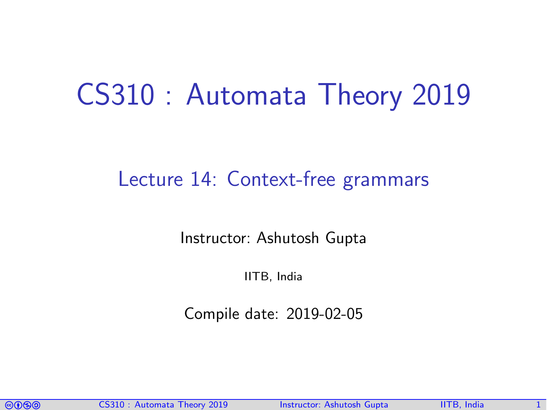## CS310 : Automata Theory 2019

#### Lecture 14: Context-free grammars

Instructor: [Ashutosh Gupta](http://www.cse.iitb.ac.in/~akg/)

IITB, India

Compile date: 2019-02-05

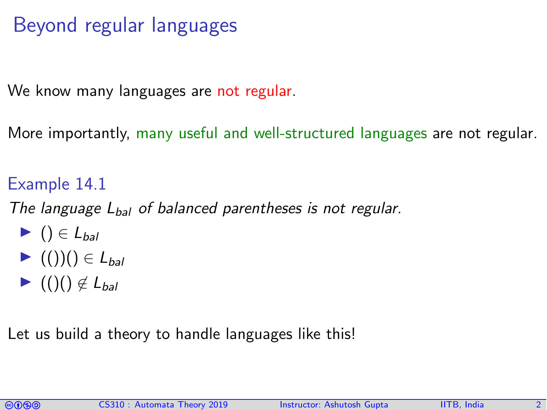## Beyond regular languages

We know many languages are not regular.

More importantly, many useful and well-structured languages are not regular.

#### Example 14.1

The language  $L_{bal}$  of balanced parentheses is not regular.

- $\blacktriangleright$  ()  $\in$  L<sub>bal</sub>
- $\blacktriangleright$  (())()  $\in$  L<sub>bal</sub>
- $\blacktriangleright$  (()()  $\notin$  L<sub>bal</sub>

Let us build a theory to handle languages like this!

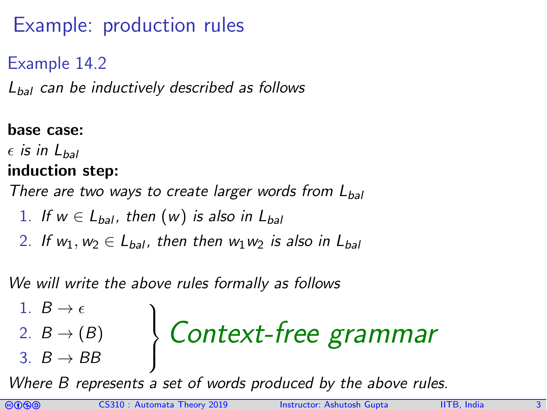## Example: production rules

#### Example 14.2

 $L_{bal}$  can be inductively described as follows

#### base case:

 $\epsilon$  is in  $L_{\text{bol}}$ 

#### induction step:

There are two ways to create larger words from  $L_{bal}$ 

- 1. If  $w \in L_{bal}$ , then  $(w)$  is also in  $L_{bal}$
- 2. If  $w_1, w_2 \in L_{bal}$ , then then  $w_1w_2$  is also in  $L_{bal}$

We will write the above rules formally as follows

1. 
$$
B \rightarrow \epsilon
$$
  
\n2.  $B \rightarrow (B)$   
\n3.  $B \rightarrow BB$  **Context-free grammar**

Where B represents a set of words produced by the above rules.

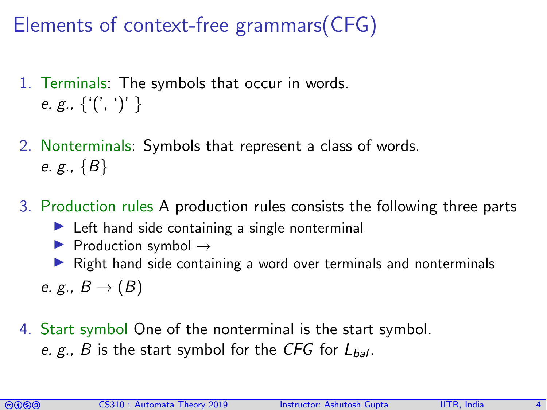## Elements of context-free grammars(CFG)

- 1. Terminals: The symbols that occur in words. e. g.,  $\{ '(', ')' \}$
- 2. Nonterminals: Symbols that represent a class of words. e. g.,  ${B}$
- 3. Production rules A production rules consists the following three parts
	- $\blacktriangleright$  Left hand side containing a single nonterminal
	- $\triangleright$  Production symbol  $\rightarrow$
	- $\triangleright$  Right hand side containing a word over terminals and nonterminals

e. g.,  $B \rightarrow (B)$ 

4. Start symbol One of the nonterminal is the start symbol. e. g., B is the start symbol for the CFG for  $L_{bal}$ .

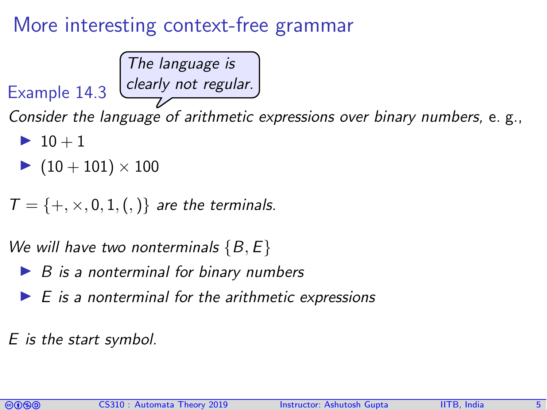### More interesting context-free grammar

The language is clearly not regular.

Example 14.3

Consider the language of arithmetic expressions over binary numbers, e. g.,

- $\blacktriangleright$  10 + 1
- $\blacktriangleright$  (10 + 101)  $\times$  100

 $T = \{+, \times, 0, 1, (,) \}$  are the terminals.

We will have two nonterminals  $\{B, E\}$ 

- $\triangleright$  B is a nonterminal for binary numbers
- $E$  is a nonterminal for the arithmetic expressions

E is the start symbol.

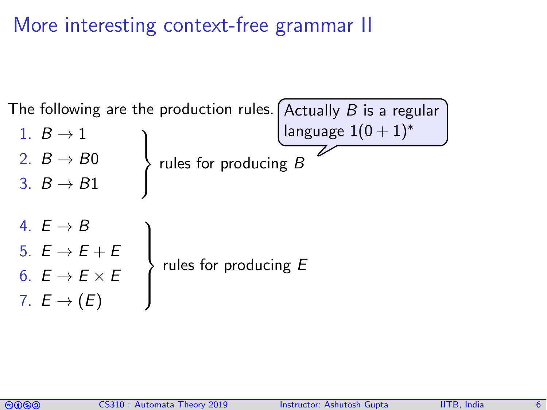More interesting context-free grammar II



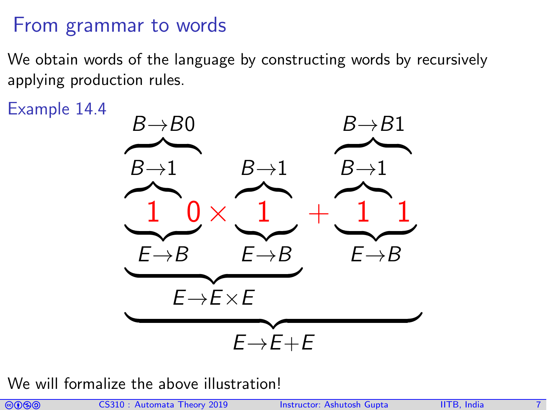#### From grammar to words

We obtain words of the language by constructing words by recursively applying production rules.

Example 14.4



We will formalize the above illustration!

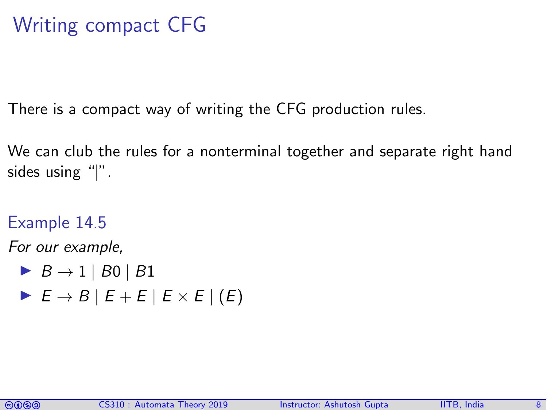### Writing compact CFG

There is a compact way of writing the CFG production rules.

We can club the rules for a nonterminal together and separate right hand sides using "|".

#### Example 14.5

For our example,

$$
\blacktriangleright \ B \to 1 \mid B0 \mid B1
$$

 $\triangleright E \rightarrow B \mid E + E \mid E \times E \mid (E)$ 

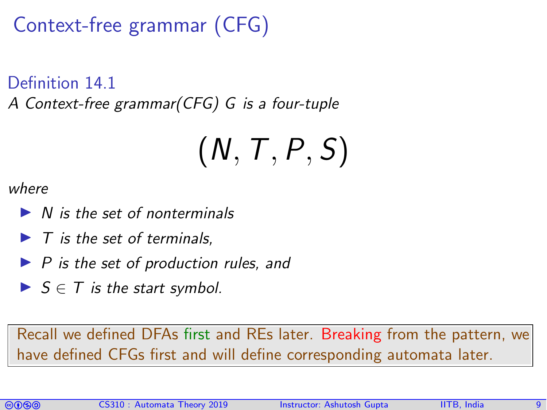Context-free grammar (CFG)

Definition 14.1

A Context-free grammar(CFG) G is a four-tuple

# $(N, T, P, S)$

where

- $\triangleright$  N is the set of nonterminals
- $\blacktriangleright$  T is the set of terminals,
- $\blacktriangleright$  P is the set of production rules, and
- $\triangleright$   $S \in T$  is the start symbol.

Recall we defined DFAs first and REs later. Breaking from the pattern, we have defined CFGs first and will define corresponding automata later.

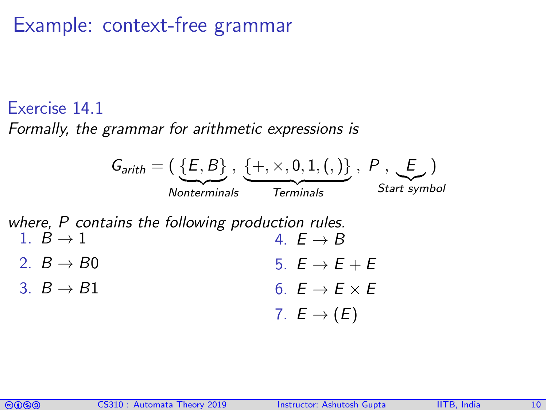#### Example: context-free grammar

#### Exercise 14.1

Formally, the grammar for arithmetic expressions is



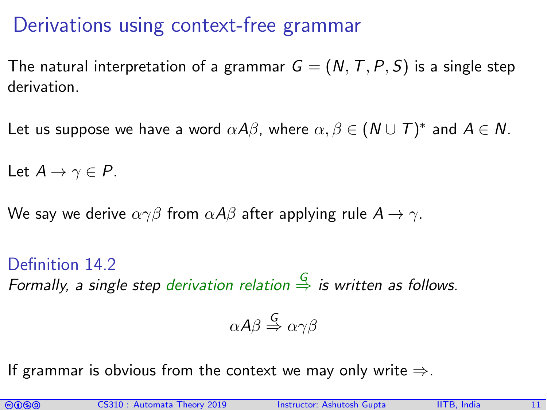#### Derivations using context-free grammar

The natural interpretation of a grammar  $G = (N, T, P, S)$  is a single step derivation.

Let us suppose we have a word  $\alpha A\beta$ , where  $\alpha,\beta\in(\mathsf{N}\cup \mathsf{T})^*$  and  $\mathsf{A}\in\mathsf{N}.$ 

Let  $A \rightarrow \gamma \in P$ .

We say we derive  $\alpha \gamma \beta$  from  $\alpha A \beta$  after applying rule  $A \rightarrow \gamma$ .

Definition 14.2 Formally, a single step derivation relation  $\frac{G}{\Rightarrow}$  is written as follows.

$$
\alpha A \beta \stackrel{\mathsf{G}}{\Rightarrow} \alpha \gamma \beta
$$

If grammar is obvious from the context we may only write  $\Rightarrow$ .

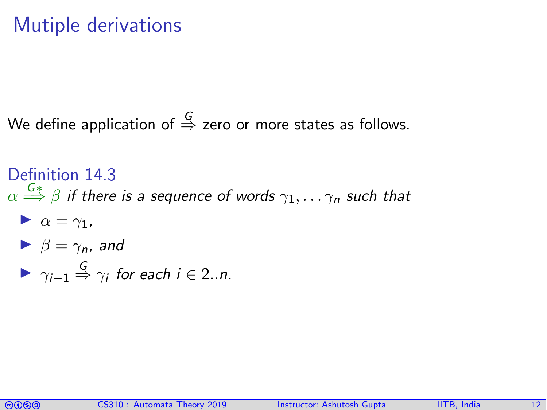### Mutiple derivations

We define application of  $\stackrel{G}{\Rightarrow}$  zero or more states as follows.

Definition 14.3  $\alpha \stackrel{G*}{\Longrightarrow} \beta$  if there is a sequence of words  $\gamma_1, \ldots \gamma_n$  such that  $\triangleright \alpha = \gamma_1$ ,  $\blacktriangleright$   $\beta = \gamma_n$ , and

$$
\blacktriangleright \ \ \gamma_{i-1} \stackrel{G}{\Rightarrow} \gamma_i \ \text{for each } i \in 2..n.
$$

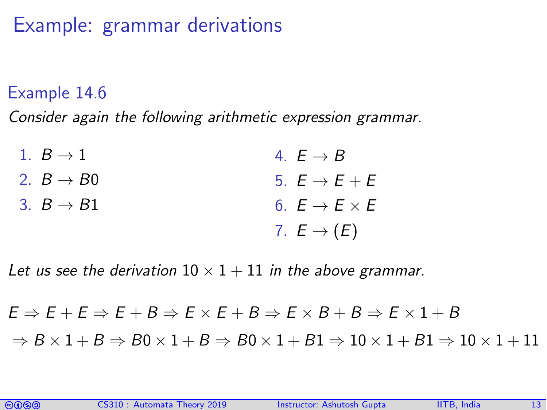### Example: grammar derivations

#### Example 14.6

Consider again the following arithmetic expression grammar.

| 1. $B \rightarrow 1$   | 4. $E \rightarrow B$          |
|------------------------|-------------------------------|
| 2. $B \rightarrow B0$  | 5. $E \rightarrow E + E$      |
| 3. $B \rightarrow B1$  | 6. $E \rightarrow E \times E$ |
| 7. $E \rightarrow (E)$ |                               |

Let us see the derivation  $10 \times 1 + 11$  in the above grammar.

#### $E \Rightarrow E + E \Rightarrow E + B \Rightarrow E \times E + B \Rightarrow E \times B + B \Rightarrow E \times 1 + B$  $\Rightarrow B \times 1 + B \Rightarrow B0 \times 1 + B \Rightarrow B0 \times 1 + B1 \Rightarrow 10 \times 1 + B1 \Rightarrow 10 \times 1 + 11$

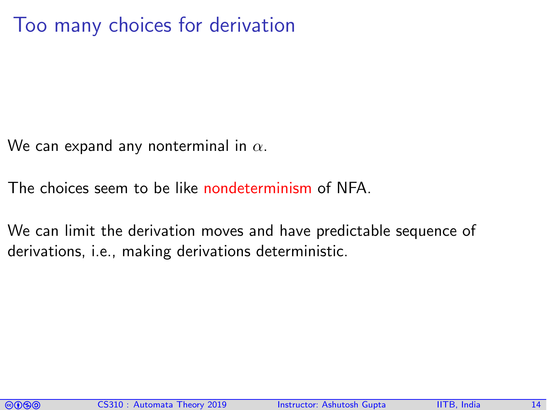#### Too many choices for derivation

We can expand any nonterminal in  $\alpha$ .

The choices seem to be like nondeterminism of NFA.

We can limit the derivation moves and have predictable sequence of derivations, i.e., making derivations deterministic.

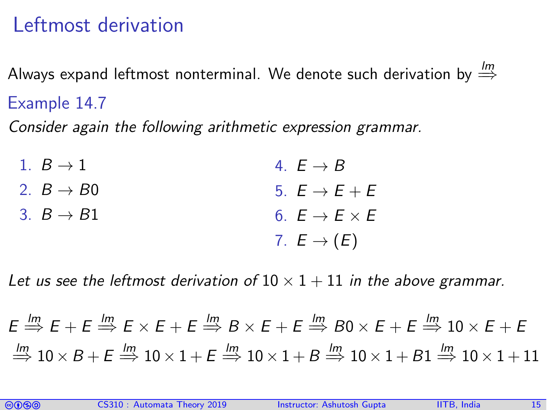## Leftmost derivation

Always expand leftmost nonterminal. We denote such derivation by  $\stackrel{lm}{\Rightarrow}$ Example 14.7

Consider again the following arithmetic expression grammar.

| 1. $B \rightarrow 1$  | 4. $E \rightarrow B$          |
|-----------------------|-------------------------------|
| 2. $B \rightarrow B0$ | 5. $E \rightarrow E + E$      |
| 3. $B \rightarrow B1$ | 6. $E \rightarrow E \times E$ |
|                       | 7. $E \rightarrow (E)$        |

Let us see the leftmost derivation of  $10 \times 1 + 11$  in the above grammar.

 $E \stackrel{lm}{\Rightarrow} E + E \stackrel{lm}{\Rightarrow} E \times E + E \stackrel{lm}{\Rightarrow} B \times E + E \stackrel{lm}{\Rightarrow} B0 \times E + E \stackrel{lm}{\Rightarrow} 10 \times E + E$  $\stackrel{\text{Im}}{\Longrightarrow} 10 \times B + E \stackrel{\text{Im}}{\Longrightarrow} 10 \times 1 + E \stackrel{\text{Im}}{\Longrightarrow} 10 \times 1 + B \stackrel{\text{Im}}{\Longrightarrow} 10 \times 1 + B1 \stackrel{\text{Im}}{\Longrightarrow} 10 \times 1 + 11$ 

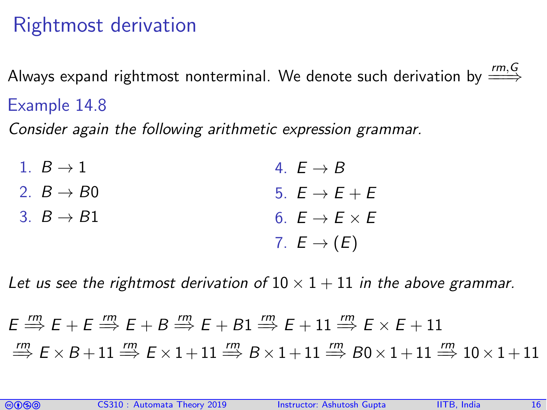## Rightmost derivation

Always expand rightmost nonterminal. We denote such derivation by  $\overset{rm, G}{\Longrightarrow}$ Example 14.8

Consider again the following arithmetic expression grammar.

| 1. $B \rightarrow 1$  | 4. $E \rightarrow B$          |
|-----------------------|-------------------------------|
| 2. $B \rightarrow B0$ | 5. $E \rightarrow E + E$      |
| 3. $B \rightarrow B1$ | 6. $E \rightarrow E \times E$ |
|                       | 7. $E \rightarrow (E)$        |

Let us see the rightmost derivation of  $10 \times 1 + 11$  in the above grammar.

 $E \stackrel{rm}{\Longrightarrow} E + E \stackrel{rm}{\Longrightarrow} E + B \stackrel{rm}{\Longrightarrow} E + B1 \stackrel{rm}{\Longrightarrow} E + 11 \stackrel{rm}{\Longrightarrow} E \times E + 11$  $\stackrel{rm}{\Longrightarrow} E \times B + 11 \stackrel{rm}{\Longrightarrow} E \times 1 + 11 \stackrel{rm}{\Longrightarrow} B \times 1 + 11 \stackrel{rm}{\Longrightarrow} B0 \times 1 + 11 \stackrel{rm}{\Longrightarrow} 10 \times 1 + 11$ 

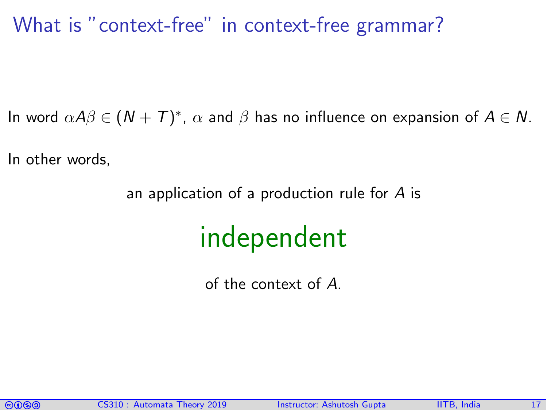#### What is "context-free" in context-free grammar?

In word  $\alpha A\beta \in (N + \overline{T})^*$ ,  $\alpha$  and  $\beta$  has no influence on expansion of  $A \in N$ .

In other words,

an application of a production rule for A is

## independent

of the context of A.

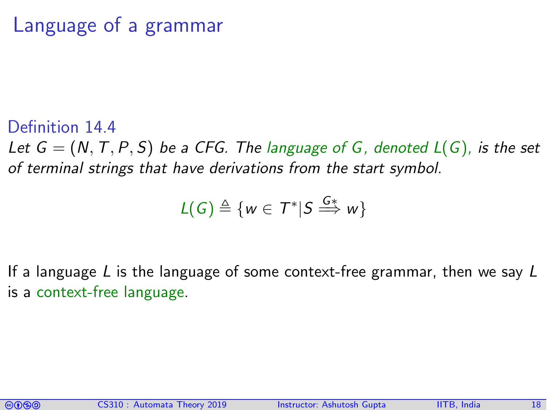### Language of a grammar

Definition 14.4 Let  $G = (N, T, P, S)$  be a CFG. The language of G, denoted  $L(G)$ , is the set of terminal strings that have derivations from the start symbol.

$$
L(G) \triangleq \{w \in T^* | S \stackrel{G*}{\Longrightarrow} w\}
$$

If a language L is the language of some context-free grammar, then we say  $L$ is a context-free language.

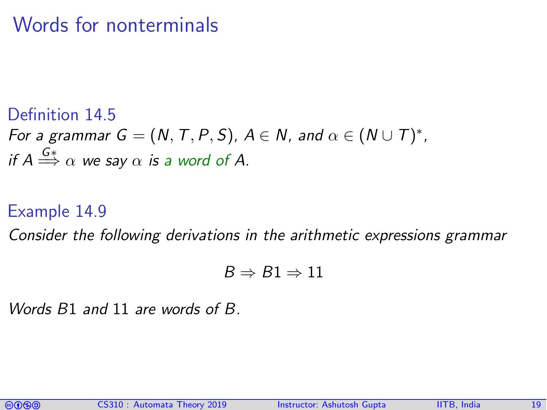### Words for nonterminals

Definition 14.5 For a grammar  $G = (N, T, P, S)$ ,  $A \in N$ , and  $\alpha \in (N \cup T)^*$ , if  $A\overset{G*}{\Longrightarrow}\alpha$  we say  $\alpha$  is a word of A.

#### Example 14.9

Consider the following derivations in the arithmetic expressions grammar

$$
B \Rightarrow B1 \Rightarrow 11
$$

Words B1 and 11 are words of B.

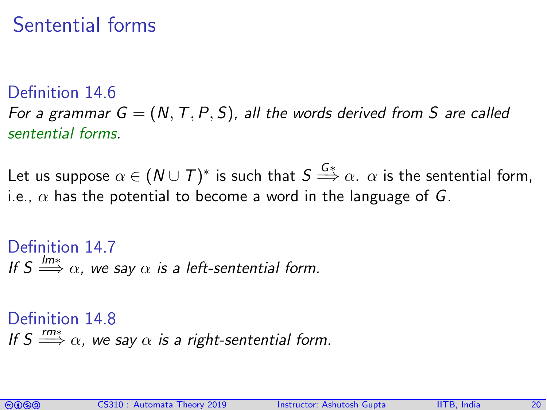### Sentential forms

Definition 14.6

For a grammar  $G = (N, T, P, S)$ , all the words derived from S are called sentential forms.

Let us suppose  $\alpha\in(\mathsf{N}\cup\mathsf{T})^*$  is such that  $S\overset{G*}{\Longrightarrow}\alpha_+\alpha$  is the sentential form, i.e.,  $\alpha$  has the potential to become a word in the language of G.

Definition 14.7 If  $S \stackrel{\text{lm} *}{\Longrightarrow} \alpha$ , we say  $\alpha$  is a left-sentential form.

Definition 14.8 If  $S \stackrel{rm*}{\Longrightarrow} \alpha$ , we say  $\alpha$  is a right-sentential form.

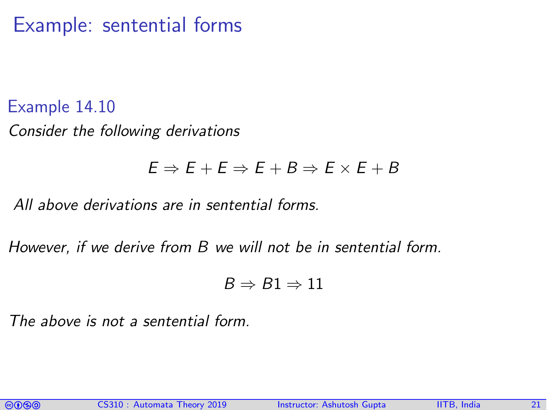#### Example: sentential forms

Example 14.10 Consider the following derivations

#### $E \Rightarrow E + E \Rightarrow E + B \Rightarrow E \times E + B$

All above derivations are in sentential forms.

However, if we derive from B we will not be in sentential form.

$$
B \Rightarrow B1 \Rightarrow 11
$$

The above is not a sentential form.

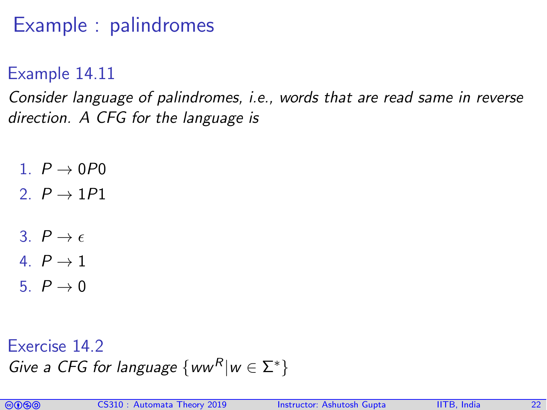## Example : palindromes

Example 14.11

Consider language of palindromes, i.e., words that are read same in reverse direction. A CFG for the language is

- $1 \quad P \rightarrow \Omega P \Omega$
- 2.  $P \rightarrow 1P1$
- 3.  $P \rightarrow \epsilon$
- 4.  $P \rightarrow 1$
- 5.  $P \rightarrow 0$

Exercise 14.2 Give a CFG for language  $\{ww^R|w \in \Sigma^*\}$